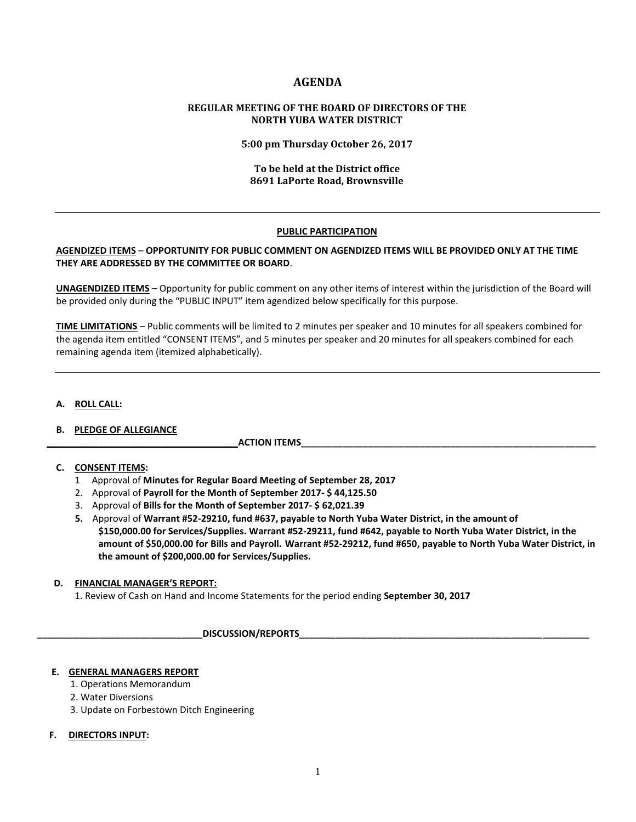# **AGENDA**

## **REGULAR MEETING OF THE BOARD OF DIRECTORS OF THE NORTH YUBA WATER DISTRICT**

**5:00 pm Thursday October 26, 2017**

## **To be held at the District office 8691 LaPorte Road, Brownsville**

#### **PUBLIC PARTICIPATION**

## **AGENDIZED ITEMS** – **OPPORTUNITY FOR PUBLIC COMMENT ON AGENDIZED ITEMS WILL BE PROVIDED ONLY AT THE TIME THEY ARE ADDRESSED BY THE COMMITTEE OR BOARD**.

**UNAGENDIZED ITEMS** – Opportunity for public comment on any other items of interest within the jurisdiction of the Board will be provided only during the "PUBLIC INPUT" item agendized below specifically for this purpose.

**TIME LIMITATIONS** – Public comments will be limited to 2 minutes per speaker and 10 minutes for all speakers combined for the agenda item entitled "CONSENT ITEMS", and 5 minutes per speaker and 20 minutes for all speakers combined for each remaining agenda item (itemized alphabetically).

#### **A. ROLL CALL:**

## **B. PLEDGE OF ALLEGIANCE**

 **\_\_\_\_\_\_\_\_\_\_\_\_\_\_\_\_\_\_\_\_\_\_\_\_\_\_\_\_\_\_\_\_\_\_\_\_\_ACTION ITEMS\_\_\_\_\_\_\_\_\_\_\_\_\_\_\_\_\_\_\_\_\_\_\_\_\_\_\_\_\_\_\_\_\_\_\_\_\_\_\_\_\_\_\_\_\_\_\_\_\_\_\_\_\_\_\_\_\_**

## **C. CONSENT ITEMS:**

- 1 Approval of **Minutes for Regular Board Meeting of September 28, 2017**
- 2. Approval of **Payroll for the Month of September 2017- \$ 44,125.50**
- 3. Approval of **Bills for the Month of September 2017- \$ 62,021.39**
- **5.** Approval of **Warrant #52-29210, fund #637, payable to North Yuba Water District, in the amount of \$150,000.00 for Services/Supplies. Warrant #52-29211, fund #642, payable to North Yuba Water District, in the amount of \$50,000.00 for Bills and Payroll. Warrant #52-29212, fund #650, payable to North Yuba Water District, in the amount of \$200,000.00 for Services/Supplies.**

## **D. FINANCIAL MANAGER'S REPORT:**

1. Review of Cash on Hand and Income Statements for the period ending **September 30, 2017**

**\_\_\_\_\_\_\_\_\_\_\_\_\_\_\_\_\_\_\_\_\_\_\_\_\_\_\_\_\_\_\_\_DISCUSSION/REPORTS\_\_\_\_\_\_\_\_\_\_\_\_\_\_\_\_\_\_\_\_\_\_\_\_\_\_\_\_\_\_\_\_\_\_\_\_\_\_\_\_\_\_\_\_\_\_\_\_\_\_\_\_\_\_\_\_** 

#### **E. GENERAL MANAGERS REPORT**

- 1. Operations Memorandum
- 2. Water Diversions
- 3. Update on Forbestown Ditch Engineering

## **F. DIRECTORS INPUT:**